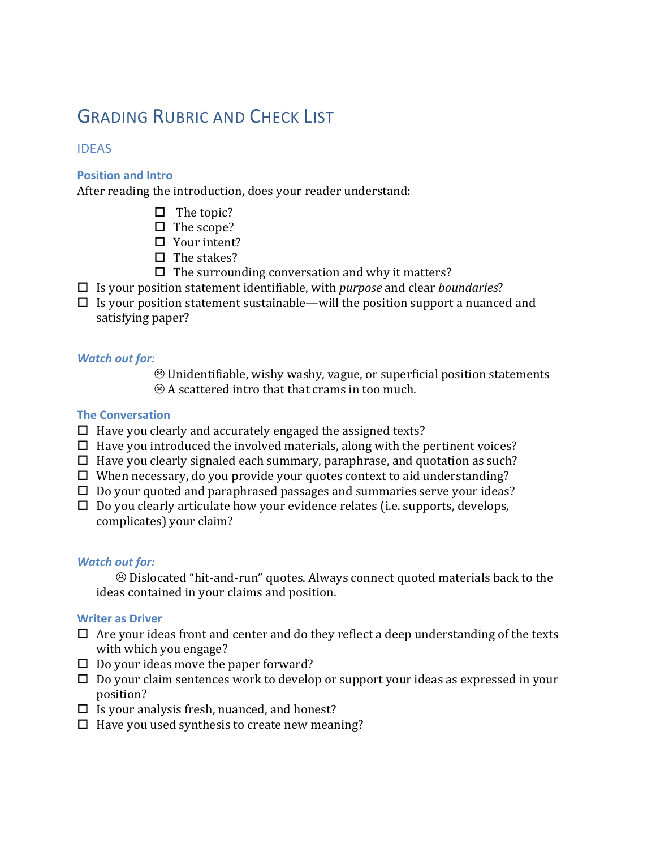# **GRADING RUBRIC AND CHECK LIST**

## IDEAS

## **Position and Intro**

After reading the introduction, does your reader understand:

- $\Box$  The topic?
- $\Box$  The scope?
- $\Box$  Your intent?
- $\Box$  The stakes?
- $\Box$  The surrounding conversation and why it matters?
- $\square$  Is your position statement identifiable, with *purpose* and clear *boundaries*?
- $\Box$  Is your position statement sustainable—will the position support a nuanced and satisfying paper?

## *Watch out for:*

 $\odot$  Unidentifiable, wishy washy, vague, or superficial position statements  $\odot$  A scattered intro that that crams in too much.

## **The Conversation**

- $\Box$  Have you clearly and accurately engaged the assigned texts?
- $\Box$  Have you introduced the involved materials, along with the pertinent voices?
- $\Box$  Have you clearly signaled each summary, paraphrase, and quotation as such?
- $\Box$  When necessary, do you provide your quotes context to aid understanding?
- $\Box$  Do your quoted and paraphrased passages and summaries serve your ideas?
- $\Box$  Do you clearly articulate how your evidence relates (i.e. supports, develops, complicates) your claim?

## *Watch out for:*

 $\odot$  Dislocated "hit-and-run" quotes. Always connect quoted materials back to the ideas contained in your claims and position.

## **Writer as Driver**

- $\Box$  Are your ideas front and center and do they reflect a deep understanding of the texts with which you engage?
- $\Box$  Do your ideas move the paper forward?
- $\Box$  Do your claim sentences work to develop or support your ideas as expressed in your position?
- $\Box$  Is your analysis fresh, nuanced, and honest?
- $\Box$  Have you used synthesis to create new meaning?